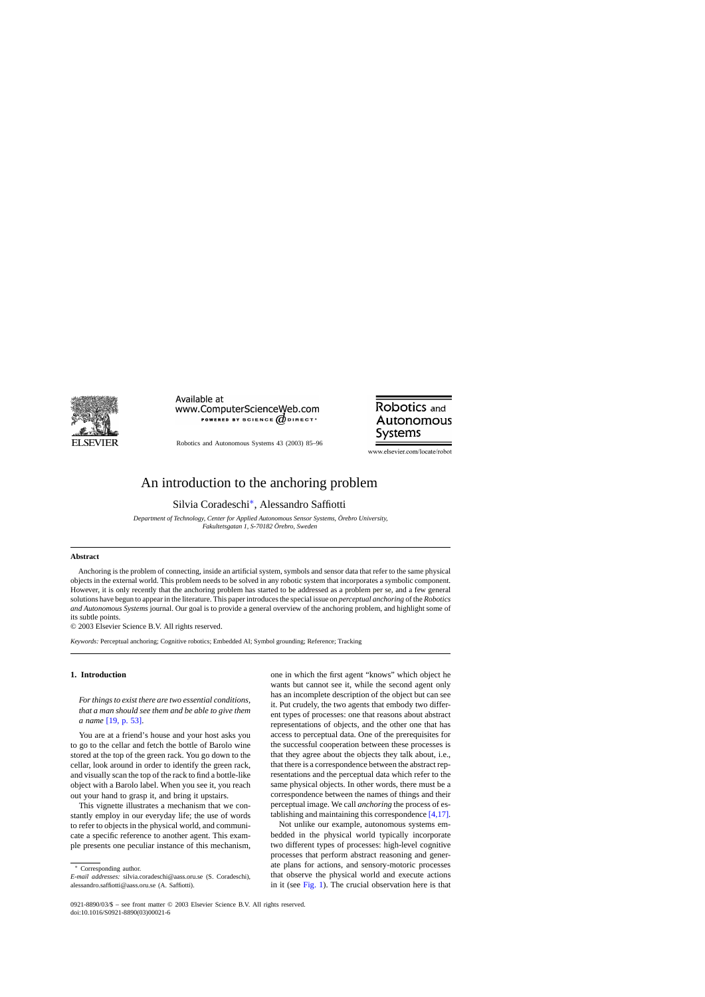<span id="page-0-0"></span>

Available at www.ComputerScienceWeb.com POWERED BY SCIENCE  $\omega$  direct<sup>®</sup>

Robotics and Autonomous Systems 43 (2003) 85–96



www.elsevier.com/locate/robot

# An introduction to the anchoring problem

Silvia Coradeschi∗, Alessandro Saffiotti

*Department of Technology, Center for Applied Autonomous Sensor Systems, Örebro University, Fakultetsgatan 1, S-70182 Örebro, Sweden*

#### **Abstract**

Anchoring is the problem of connecting, inside an artificial system, symbols and sensor data that refer to the same physical objects in the external world. This problem needs to be solved in any robotic system that incorporates a symbolic component. However, it is only recently that the anchoring problem has started to be addressed as a problem per se, and a few general solutions have begun to appear in the literature. This paper introduces the special issue on *perceptual anchoring* of the *Robotics and Autonomous Systems* journal. Our goal is to provide a general overview of the anchoring problem, and highlight some of its subtle points.

© 2003 Elsevier Science B.V. All rights reserved.

*Keywords:* Perceptual anchoring; Cognitive robotics; Embedded AI; Symbol grounding; Reference; Tracking

## **1. Introduction**

*For things to exist there are two essential conditions, that a man should see them and be able to give them a name* [\[19, p. 53\].](#page-11-0)

You are at a friend's house and your host asks you to go to the cellar and fetch the bottle of Barolo wine stored at the top of the green rack. You go down to the cellar, look around in order to identify the green rack, and visually scan the top of the rack to find a bottle-like object with a Barolo label. When you see it, you reach out your hand to grasp it, and bring it upstairs.

This vignette illustrates a mechanism that we constantly employ in our everyday life; the use of words to refer to objects in the physical world, and communicate a specific reference to another agent. This example presents one peculiar instance of this mechanism,

one in which the first agent "knows" which object he wants but cannot see it, while the second agent only has an incomplete description of the object but can see it. Put crudely, the two agents that embody two different types of processes: one that reasons about abstract representations of objects, and the other one that has access to perceptual data. One of the prerequisites for the successful cooperation between these processes is that they agree about the objects they talk about, i.e., that there is a correspondence between the abstract representations and the perceptual data which refer to the same physical objects. In other words, there must be a correspondence between the names of things and their perceptual image. We call *anchoring* the process of establishing and maintaining this correspondence [\[4,17\].](#page-11-0)

Not unlike our example, autonomous systems embedded in the physical world typically incorporate two different types of processes: high-level cognitive processes that perform abstract reasoning and generate plans for actions, and sensory-motoric processes that observe the physical world and execute actions in it (see [Fig. 1\).](#page-1-0) The crucial observation here is that

Corresponding author.

*E-mail addresses:* silvia.coradeschi@aass.oru.se (S. Coradeschi), alessandro.saffiotti@aass.oru.se (A. Saffiotti).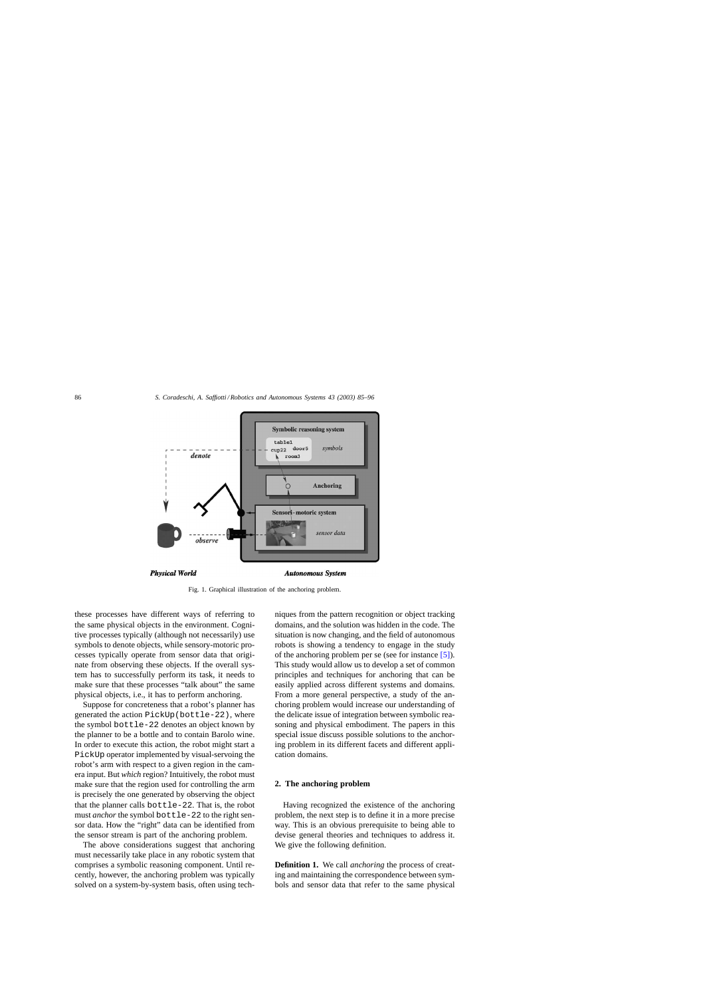<span id="page-1-0"></span>

Fig. 1. Graphical illustration of the anchoring problem.

these processes have different ways of referring to the same physical objects in the environment. Cognitive processes typically (although not necessarily) use symbols to denote objects, while sensory-motoric processes typically operate from sensor data that originate from observing these objects. If the overall system has to successfully perform its task, it needs to make sure that these processes "talk about" the same physical objects, i.e., it has to perform anchoring.

Suppose for concreteness that a robot's planner has generated the action PickUp(bottle-22), where the symbol bottle-22 denotes an object known by the planner to be a bottle and to contain Barolo wine. In order to execute this action, the robot might start a PickUp operator implemented by visual-servoing the robot's arm with respect to a given region in the camera input. But *which* region? Intuitively, the robot must make sure that the region used for controlling the arm is precisely the one generated by observing the object that the planner calls bottle-22. That is, the robot must *anchor* the symbol bottle-22 to the right sensor data. How the "right" data can be identified from the sensor stream is part of the anchoring problem.

The above considerations suggest that anchoring must necessarily take place in any robotic system that comprises a symbolic reasoning component. Until recently, however, the anchoring problem was typically solved on a system-by-system basis, often using techniques from the pattern recognition or object tracking domains, and the solution was hidden in the code. The situation is now changing, and the field of autonomous robots is showing a tendency to engage in the study of the anchoring problem per se (see for instance [\[5\]\).](#page-11-0) This study would allow us to develop a set of common principles and techniques for anchoring that can be easily applied across different systems and domains. From a more general perspective, a study of the anchoring problem would increase our understanding of the delicate issue of integration between symbolic reasoning and physical embodiment. The papers in this special issue discuss possible solutions to the anchoring problem in its different facets and different application domains.

### **2. The anchoring problem**

Having recognized the existence of the anchoring problem, the next step is to define it in a more precise way. This is an obvious prerequisite to being able to devise general theories and techniques to address it. We give the following definition.

**Definition 1.** We call *anchoring* the process of creating and maintaining the correspondence between symbols and sensor data that refer to the same physical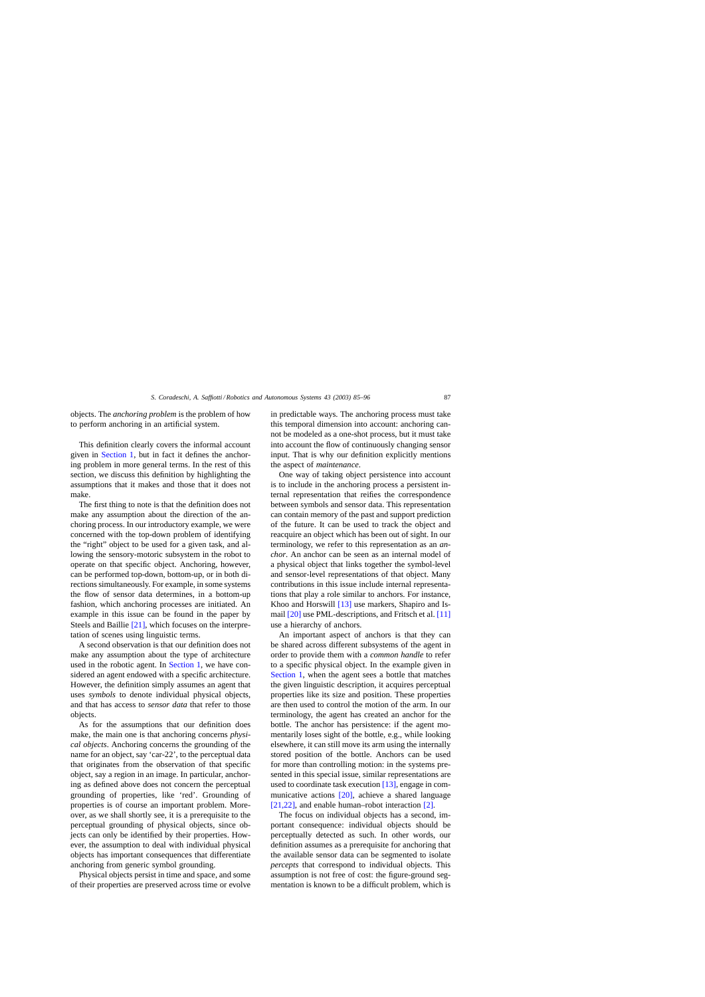objects. The *anchoring problem* is the problem of how to perform anchoring in an artificial system.

This definition clearly covers the informal account given in [Section 1,](#page-0-0) but in fact it defines the anchoring problem in more general terms. In the rest of this section, we discuss this definition by highlighting the assumptions that it makes and those that it does not make.

The first thing to note is that the definition does not make any assumption about the direction of the anchoring process. In our introductory example, we were concerned with the top-down problem of identifying the "right" object to be used for a given task, and allowing the sensory-motoric subsystem in the robot to operate on that specific object. Anchoring, however, can be performed top-down, bottom-up, or in both directions simultaneously. For example, in some systems the flow of sensor data determines, in a bottom-up fashion, which anchoring processes are initiated. An example in this issue can be found in the paper by Steels and Baillie [\[21\],](#page-11-0) which focuses on the interpretation of scenes using linguistic terms.

A second observation is that our definition does not make any assumption about the type of architecture used in the robotic agent. In [Section 1,](#page-0-0) we have considered an agent endowed with a specific architecture. However, the definition simply assumes an agent that uses *symbols* to denote individual physical objects, and that has access to *sensor data* that refer to those objects.

As for the assumptions that our definition does make, the main one is that anchoring concerns *physical objects*. Anchoring concerns the grounding of the name for an object, say 'car-22', to the perceptual data that originates from the observation of that specific object, say a region in an image. In particular, anchoring as defined above does not concern the perceptual grounding of properties, like 'red'. Grounding of properties is of course an important problem. Moreover, as we shall shortly see, it is a prerequisite to the perceptual grounding of physical objects, since objects can only be identified by their properties. However, the assumption to deal with individual physical objects has important consequences that differentiate anchoring from generic symbol grounding.

Physical objects persist in time and space, and some of their properties are preserved across time or evolve

in predictable ways. The anchoring process must take this temporal dimension into account: anchoring cannot be modeled as a one-shot process, but it must take into account the flow of continuously changing sensor input. That is why our definition explicitly mentions the aspect of *maintenance*.

One way of taking object persistence into account is to include in the anchoring process a persistent internal representation that reifies the correspondence between symbols and sensor data. This representation can contain memory of the past and support prediction of the future. It can be used to track the object and reacquire an object which has been out of sight. In our terminology, we refer to this representation as an *anchor*. An anchor can be seen as an internal model of a physical object that links together the symbol-level and sensor-level representations of that object. Many contributions in this issue include internal representations that play a role similar to anchors. For instance, Khoo and Horswill [\[13\]](#page-11-0) use markers, Shapiro and Ismail [\[20\]](#page-11-0) use PML-descriptions, and Fritsch et al. [\[11\]](#page-11-0) use a hierarchy of anchors.

An important aspect of anchors is that they can be shared across different subsystems of the agent in order to provide them with a *common handle* to refer to a specific physical object. In the example given in [Section 1,](#page-0-0) when the agent sees a bottle that matches the given linguistic description, it acquires perceptual properties like its size and position. These properties are then used to control the motion of the arm. In our terminology, the agent has created an anchor for the bottle. The anchor has persistence: if the agent momentarily loses sight of the bottle, e.g., while looking elsewhere, it can still move its arm using the internally stored position of the bottle. Anchors can be used for more than controlling motion: in the systems presented in this special issue, similar representations are used to coordinate task execution [\[13\], e](#page-11-0)ngage in com-municative actions [\[20\],](#page-11-0) achieve a shared language [\[21,22\],](#page-11-0) and enable human–robot interaction [\[2\].](#page-11-0)

The focus on individual objects has a second, important consequence: individual objects should be perceptually detected as such. In other words, our definition assumes as a prerequisite for anchoring that the available sensor data can be segmented to isolate *percepts* that correspond to individual objects. This assumption is not free of cost: the figure-ground segmentation is known to be a difficult problem, which is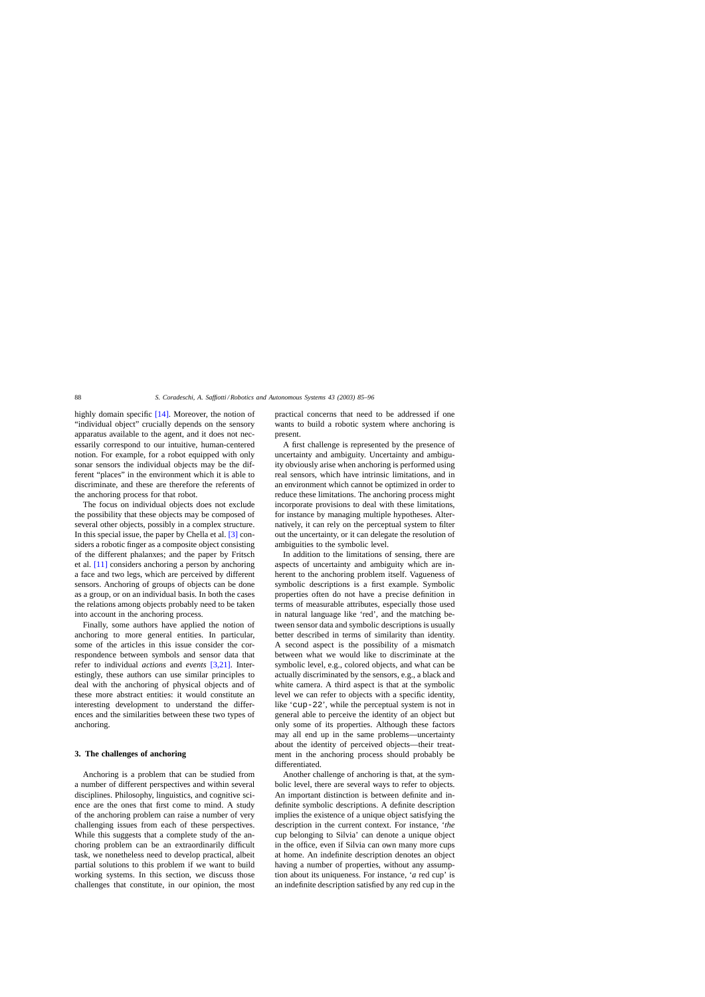highly domain specific [\[14\].](#page-11-0) Moreover, the notion of "individual object" crucially depends on the sensory apparatus available to the agent, and it does not necessarily correspond to our intuitive, human-centered notion. For example, for a robot equipped with only sonar sensors the individual objects may be the different "places" in the environment which it is able to discriminate, and these are therefore the referents of the anchoring process for that robot.

The focus on individual objects does not exclude the possibility that these objects may be composed of several other objects, possibly in a complex structure. In this special issue, the paper by Chella et al. [\[3\]](#page-11-0) considers a robotic finger as a composite object consisting of the different phalanxes; and the paper by Fritsch et al. [\[11\]](#page-11-0) considers anchoring a person by anchoring a face and two legs, which are perceived by different sensors. Anchoring of groups of objects can be done as a group, or on an individual basis. In both the cases the relations among objects probably need to be taken into account in the anchoring process.

Finally, some authors have applied the notion of anchoring to more general entities. In particular, some of the articles in this issue consider the correspondence between symbols and sensor data that refer to individual *actions* and *events* [\[3,21\].](#page-11-0) Interestingly, these authors can use similar principles to deal with the anchoring of physical objects and of these more abstract entities: it would constitute an interesting development to understand the differences and the similarities between these two types of anchoring.

#### **3. The challenges of anchoring**

Anchoring is a problem that can be studied from a number of different perspectives and within several disciplines. Philosophy, linguistics, and cognitive science are the ones that first come to mind. A study of the anchoring problem can raise a number of very challenging issues from each of these perspectives. While this suggests that a complete study of the anchoring problem can be an extraordinarily difficult task, we nonetheless need to develop practical, albeit partial solutions to this problem if we want to build working systems. In this section, we discuss those challenges that constitute, in our opinion, the most practical concerns that need to be addressed if one wants to build a robotic system where anchoring is present.

A first challenge is represented by the presence of uncertainty and ambiguity. Uncertainty and ambiguity obviously arise when anchoring is performed using real sensors, which have intrinsic limitations, and in an environment which cannot be optimized in order to reduce these limitations. The anchoring process might incorporate provisions to deal with these limitations, for instance by managing multiple hypotheses. Alternatively, it can rely on the perceptual system to filter out the uncertainty, or it can delegate the resolution of ambiguities to the symbolic level.

In addition to the limitations of sensing, there are aspects of uncertainty and ambiguity which are inherent to the anchoring problem itself. Vagueness of symbolic descriptions is a first example. Symbolic properties often do not have a precise definition in terms of measurable attributes, especially those used in natural language like 'red', and the matching between sensor data and symbolic descriptions is usually better described in terms of similarity than identity. A second aspect is the possibility of a mismatch between what we would like to discriminate at the symbolic level, e.g., colored objects, and what can be actually discriminated by the sensors, e.g., a black and white camera. A third aspect is that at the symbolic level we can refer to objects with a specific identity, like 'cup-22', while the perceptual system is not in general able to perceive the identity of an object but only some of its properties. Although these factors may all end up in the same problems—uncertainty about the identity of perceived objects—their treatment in the anchoring process should probably be differentiated.

Another challenge of anchoring is that, at the symbolic level, there are several ways to refer to objects. An important distinction is between definite and indefinite symbolic descriptions. A definite description implies the existence of a unique object satisfying the description in the current context. For instance, '*the* cup belonging to Silvia' can denote a unique object in the office, even if Silvia can own many more cups at home. An indefinite description denotes an object having a number of properties, without any assumption about its uniqueness. For instance, '*a* red cup' is an indefinite description satisfied by any red cup in the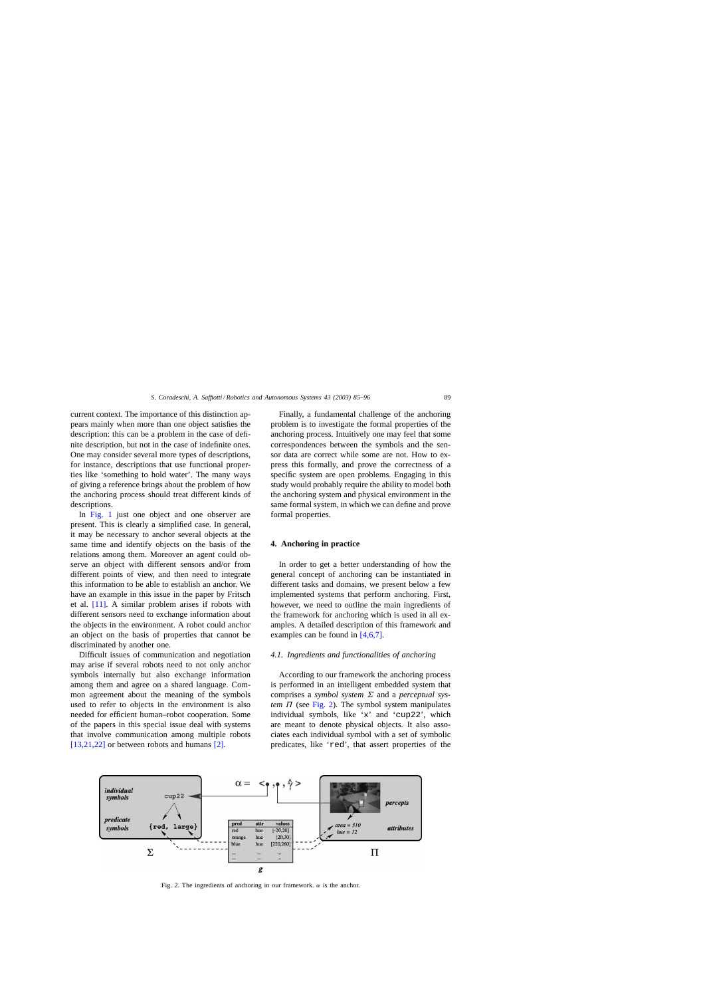current context. The importance of this distinction appears mainly when more than one object satisfies the description: this can be a problem in the case of definite description, but not in the case of indefinite ones. One may consider several more types of descriptions, for instance, descriptions that use functional properties like 'something to hold water'. The many ways of giving a reference brings about the problem of how the anchoring process should treat different kinds of descriptions.

In [Fig. 1](#page-1-0) just one object and one observer are present. This is clearly a simplified case. In general, it may be necessary to anchor several objects at the same time and identify objects on the basis of the relations among them. Moreover an agent could observe an object with different sensors and/or from different points of view, and then need to integrate this information to be able to establish an anchor. We have an example in this issue in the paper by Fritsch et al. [\[11\].](#page-11-0) A similar problem arises if robots with different sensors need to exchange information about the objects in the environment. A robot could anchor an object on the basis of properties that cannot be discriminated by another one.

Difficult issues of communication and negotiation may arise if several robots need to not only anchor symbols internally but also exchange information among them and agree on a shared language. Common agreement about the meaning of the symbols used to refer to objects in the environment is also needed for efficient human–robot cooperation. Some of the papers in this special issue deal with systems that involve communication among multiple robots [\[13,21,22\]](#page-11-0) or between robots and humans [\[2\].](#page-11-0)

Finally, a fundamental challenge of the anchoring problem is to investigate the formal properties of the anchoring process. Intuitively one may feel that some correspondences between the symbols and the sensor data are correct while some are not. How to express this formally, and prove the correctness of a specific system are open problems. Engaging in this study would probably require the ability to model both the anchoring system and physical environment in the same formal system, in which we can define and prove formal properties.

### **4. Anchoring in practice**

In order to get a better understanding of how the general concept of anchoring can be instantiated in different tasks and domains, we present below a few implemented systems that perform anchoring. First, however, we need to outline the main ingredients of the framework for anchoring which is used in all examples. A detailed description of this framework and examples can be found in [\[4,6,7\].](#page-11-0)

#### *4.1. Ingredients and functionalities of anchoring*

According to our framework the anchoring process is performed in an intelligent embedded system that comprises a *symbol system* Σ and a *perceptual system*  $\Pi$  (see Fig. 2). The symbol system manipulates individual symbols, like 'x' and 'cup22', which are meant to denote physical objects. It also associates each individual symbol with a set of symbolic predicates, like 'red', that assert properties of the



Fig. 2. The ingredients of anchoring in our framework.  $\alpha$  is the anchor.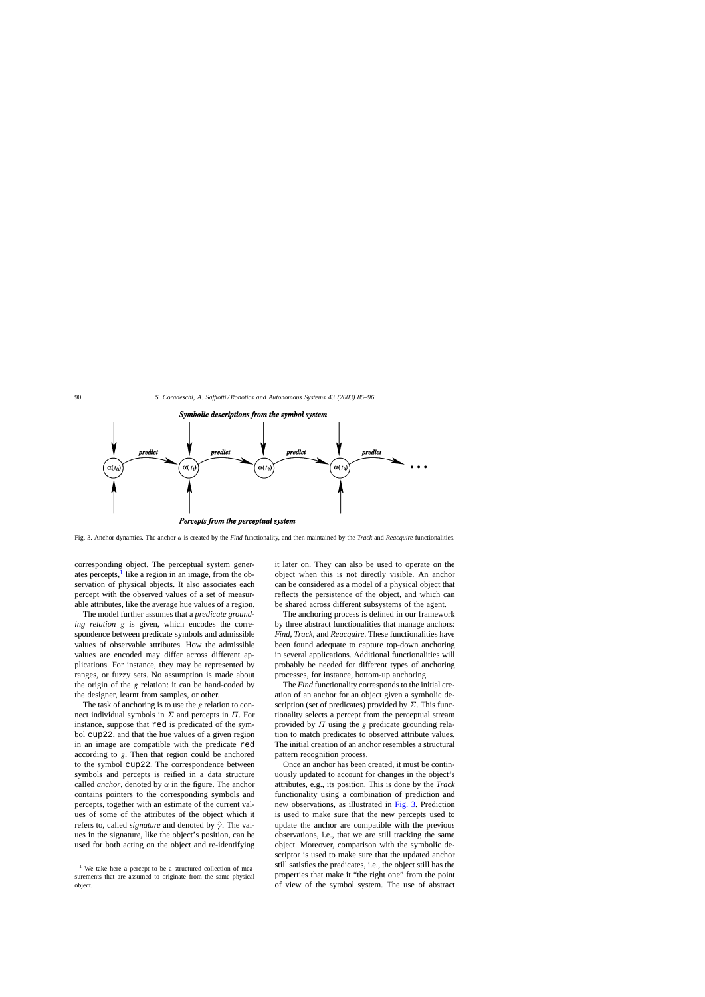

Fig. 3. Anchor dynamics. The anchor α is created by the *Find* functionality, and then maintained by the *Track* and *Reacquire* functionalities.

corresponding object. The perceptual system generates percepts, $<sup>1</sup>$  like a region in an image, from the ob-</sup> servation of physical objects. It also associates each percept with the observed values of a set of measurable attributes, like the average hue values of a region.

The model further assumes that a *predicate grounding relation* g is given, which encodes the correspondence between predicate symbols and admissible values of observable attributes. How the admissible values are encoded may differ across different applications. For instance, they may be represented by ranges, or fuzzy sets. No assumption is made about the origin of the  $g$  relation: it can be hand-coded by the designer, learnt from samples, or other.

The task of anchoring is to use the g relation to connect individual symbols in  $\Sigma$  and percepts in  $\Pi$ . For instance, suppose that red is predicated of the symbol cup22, and that the hue values of a given region in an image are compatible with the predicate red according to g. Then that region could be anchored to the symbol cup22. The correspondence between symbols and percepts is reified in a data structure called *anchor*, denoted by  $\alpha$  in the figure. The anchor contains pointers to the corresponding symbols and percepts, together with an estimate of the current values of some of the attributes of the object which it refers to, called *signature* and denoted by  $\hat{\gamma}$ . The values in the signature, like the object's position, can be used for both acting on the object and re-identifying it later on. They can also be used to operate on the object when this is not directly visible. An anchor can be considered as a model of a physical object that reflects the persistence of the object, and which can be shared across different subsystems of the agent.

The anchoring process is defined in our framework by three abstract functionalities that manage anchors: *Find*, *Track*, and *Reacquire*. These functionalities have been found adequate to capture top-down anchoring in several applications. Additional functionalities will probably be needed for different types of anchoring processes, for instance, bottom-up anchoring.

The *Find* functionality corresponds to the initial creation of an anchor for an object given a symbolic description (set of predicates) provided by  $\Sigma$ . This functionality selects a percept from the perceptual stream provided by  $\Pi$  using the g predicate grounding relation to match predicates to observed attribute values. The initial creation of an anchor resembles a structural pattern recognition process.

Once an anchor has been created, it must be continuously updated to account for changes in the object's attributes, e.g., its position. This is done by the *Track* functionality using a combination of prediction and new observations, as illustrated in Fig. 3. Prediction is used to make sure that the new percepts used to update the anchor are compatible with the previous observations, i.e., that we are still tracking the same object. Moreover, comparison with the symbolic descriptor is used to make sure that the updated anchor still satisfies the predicates, i.e., the object still has the properties that make it "the right one" from the point of view of the symbol system. The use of abstract

 $1$  We take here a percept to be a structured collection of measurements that are assumed to originate from the same physical object.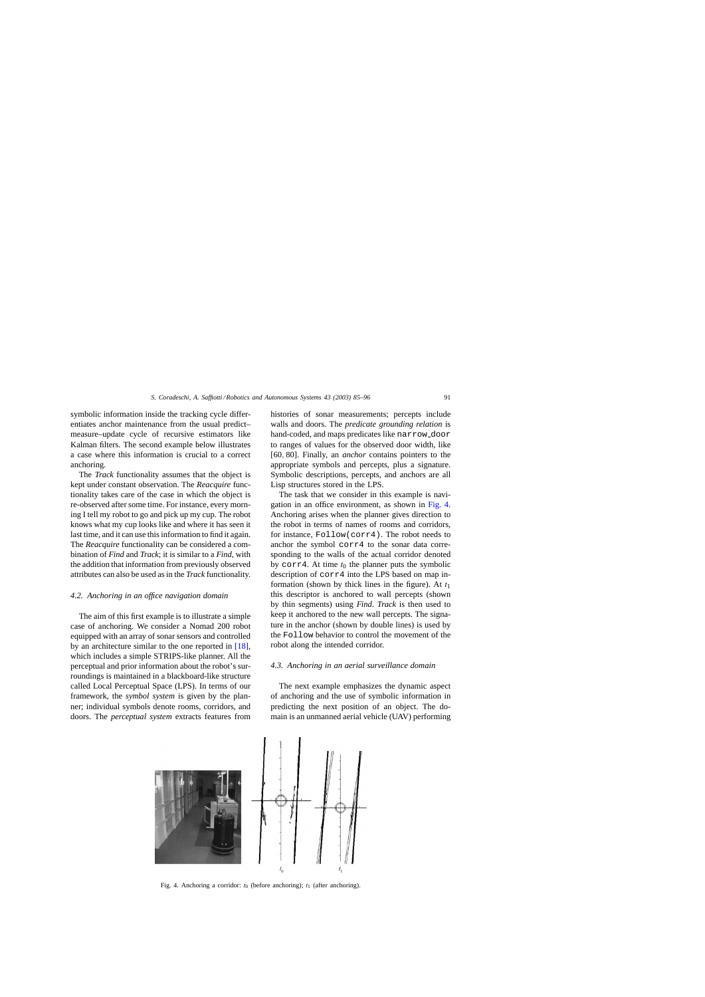symbolic information inside the tracking cycle differentiates anchor maintenance from the usual predict– measure–update cycle of recursive estimators like Kalman filters. The second example below illustrates a case where this information is crucial to a correct anchoring.

The *Track* functionality assumes that the object is kept under constant observation. The *Reacquire* functionality takes care of the case in which the object is re-observed after some time. For instance, every morning I tell my robot to go and pick up my cup. The robot knows what my cup looks like and where it has seen it last time, and it can use this information to find it again. The *Reacquire* functionality can be considered a combination of *Find* and *Track*; it is similar to a *Find*, with the addition that information from previously observed attributes can also be used as in the *Track* functionality.

#### *4.2. Anchoring in an office navigation domain*

The aim of this first example is to illustrate a simple case of anchoring. We consider a Nomad 200 robot equipped with an array of sonar sensors and controlled by an architecture similar to the one reported in [\[18\],](#page-11-0) which includes a simple STRIPS-like planner. All the perceptual and prior information about the robot's surroundings is maintained in a blackboard-like structure called Local Perceptual Space (LPS). In terms of our framework, the *symbol system* is given by the planner; individual symbols denote rooms, corridors, and doors. The *perceptual system* extracts features from histories of sonar measurements; percepts include walls and doors. The *predicate grounding relation* is hand-coded, and maps predicates like narrow\_door to ranges of values for the observed door width, like [60, 80]. Finally, an *anchor* contains pointers to the appropriate symbols and percepts, plus a signature. Symbolic descriptions, percepts, and anchors are all Lisp structures stored in the LPS.

The task that we consider in this example is navigation in an office environment, as shown in Fig. 4. Anchoring arises when the planner gives direction to the robot in terms of names of rooms and corridors, for instance, Follow(corr4). The robot needs to anchor the symbol corr4 to the sonar data corresponding to the walls of the actual corridor denoted by corr4. At time  $t_0$  the planner puts the symbolic description of corr4 into the LPS based on map information (shown by thick lines in the figure). At  $t_1$ this descriptor is anchored to wall percepts (shown by thin segments) using *Find*. *Track* is then used to keep it anchored to the new wall percepts. The signature in the anchor (shown by double lines) is used by the Follow behavior to control the movement of the robot along the intended corridor.

### *4.3. Anchoring in an aerial surveillance domain*

The next example emphasizes the dynamic aspect of anchoring and the use of symbolic information in predicting the next position of an object. The domain is an unmanned aerial vehicle (UAV) performing



Fig. 4. Anchoring a corridor:  $t_0$  (before anchoring);  $t_1$  (after anchoring).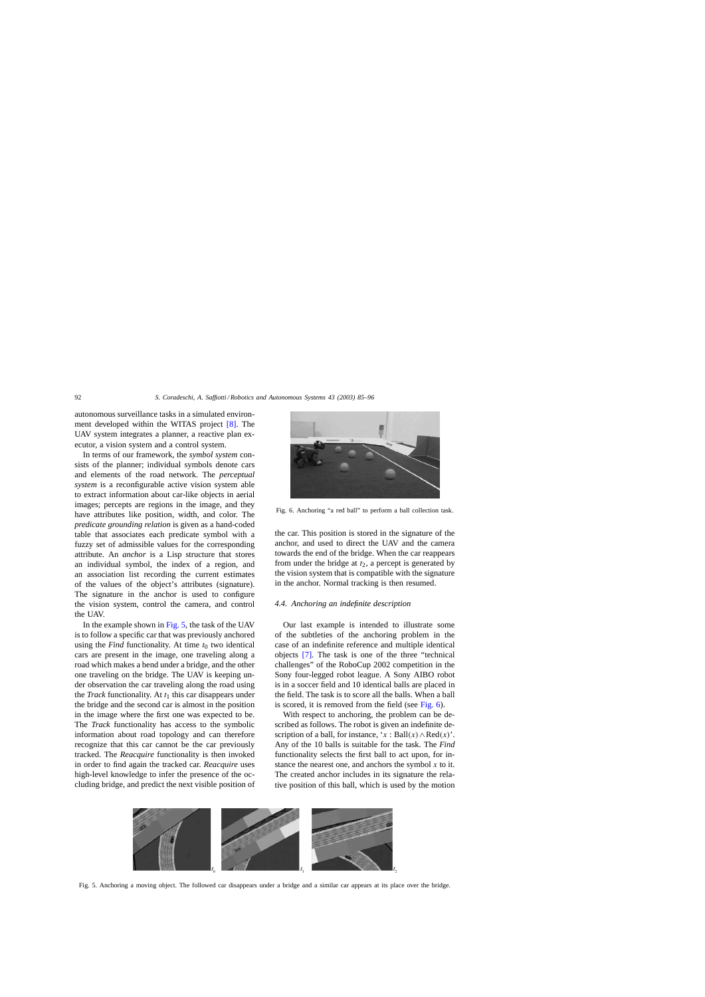autonomous surveillance tasks in a simulated environment developed within the WITAS project [\[8\].](#page-11-0) The UAV system integrates a planner, a reactive plan executor, a vision system and a control system.

In terms of our framework, the *symbol system* consists of the planner; individual symbols denote cars and elements of the road network. The *perceptual system* is a reconfigurable active vision system able to extract information about car-like objects in aerial images; percepts are regions in the image, and they have attributes like position, width, and color. The *predicate grounding relation* is given as a hand-coded table that associates each predicate symbol with a fuzzy set of admissible values for the corresponding attribute. An *anchor* is a Lisp structure that stores an individual symbol, the index of a region, and an association list recording the current estimates of the values of the object's attributes (signature). The signature in the anchor is used to configure the vision system, control the camera, and control the UAV.

In the example shown in Fig.  $5$ , the task of the UAV is to follow a specific car that was previously anchored using the *Find* functionality. At time  $t_0$  two identical cars are present in the image, one traveling along a road which makes a bend under a bridge, and the other one traveling on the bridge. The UAV is keeping under observation the car traveling along the road using the *Track* functionality. At  $t_1$  this car disappears under the bridge and the second car is almost in the position in the image where the first one was expected to be. The *Track* functionality has access to the symbolic information about road topology and can therefore recognize that this car cannot be the car previously tracked. The *Reacquire* functionality is then invoked in order to find again the tracked car. *Reacquire* uses high-level knowledge to infer the presence of the occluding bridge, and predict the next visible position of



Fig. 6. Anchoring "a red ball" to perform a ball collection task.

the car. This position is stored in the signature of the anchor, and used to direct the UAV and the camera towards the end of the bridge. When the car reappears from under the bridge at  $t_2$ , a percept is generated by the vision system that is compatible with the signature in the anchor. Normal tracking is then resumed.

#### *4.4. Anchoring an indefinite description*

Our last example is intended to illustrate some of the subtleties of the anchoring problem in the case of an indefinite reference and multiple identical objects [\[7\].](#page-11-0) The task is one of the three "technical challenges" of the RoboCup 2002 competition in the Sony four-legged robot league. A Sony AIBO robot is in a soccer field and 10 identical balls are placed in the field. The task is to score all the balls. When a ball is scored, it is removed from the field (see Fig. 6).

With respect to anchoring, the problem can be described as follows. The robot is given an indefinite description of a ball, for instance, 'x : Ball(x)  $\wedge$  Red(x)'. Any of the 10 balls is suitable for the task. The *Find* functionality selects the first ball to act upon, for instance the nearest one, and anchors the symbol  $x$  to it. The created anchor includes in its signature the relative position of this ball, which is used by the motion



Fig. 5. Anchoring a moving object. The followed car disappears under a bridge and a similar car appears at its place over the bridge.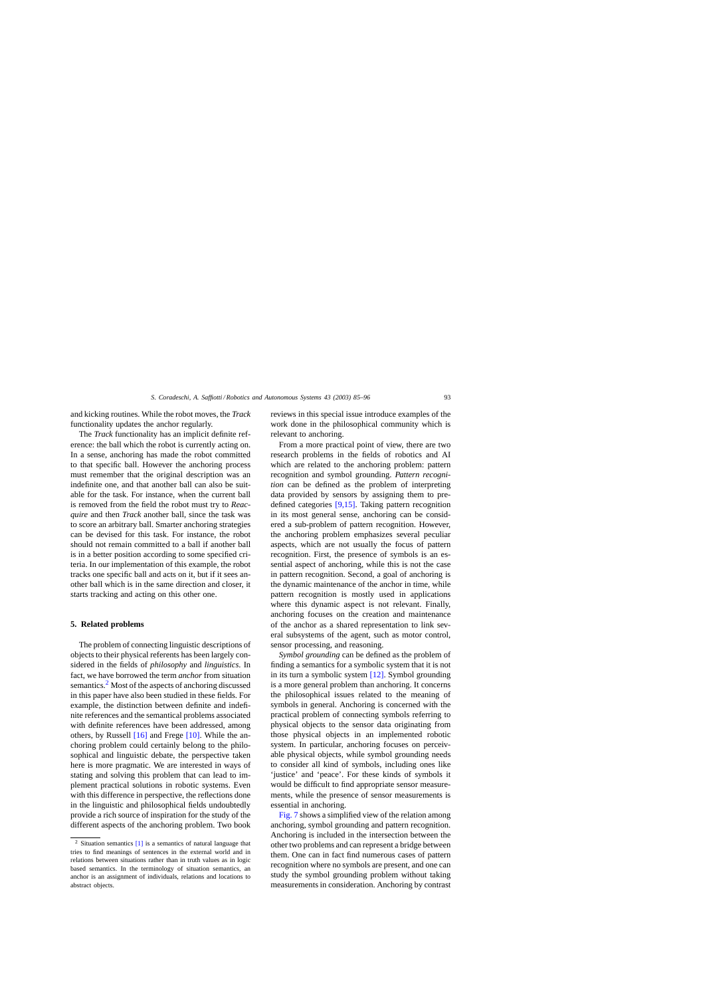and kicking routines. While the robot moves, the *Track* functionality updates the anchor regularly.

The *Track* functionality has an implicit definite reference: the ball which the robot is currently acting on. In a sense, anchoring has made the robot committed to that specific ball. However the anchoring process must remember that the original description was an indefinite one, and that another ball can also be suitable for the task. For instance, when the current ball is removed from the field the robot must try to *Reacquire* and then *Track* another ball, since the task was to score an arbitrary ball. Smarter anchoring strategies can be devised for this task. For instance, the robot should not remain committed to a ball if another ball is in a better position according to some specified criteria. In our implementation of this example, the robot tracks one specific ball and acts on it, but if it sees another ball which is in the same direction and closer, it starts tracking and acting on this other one.

#### **5. Related problems**

The problem of connecting linguistic descriptions of objects to their physical referents has been largely considered in the fields of *philosophy* and *linguistics*. In fact, we have borrowed the term *anchor* from situation semantics.2 Most of the aspects of anchoring discussed in this paper have also been studied in these fields. For example, the distinction between definite and indefinite references and the semantical problems associated with definite references have been addressed, among others, by Russell [\[16\]](#page-11-0) and Frege [\[10\].](#page-11-0) While the anchoring problem could certainly belong to the philosophical and linguistic debate, the perspective taken here is more pragmatic. We are interested in ways of stating and solving this problem that can lead to implement practical solutions in robotic systems. Even with this difference in perspective, the reflections done in the linguistic and philosophical fields undoubtedly provide a rich source of inspiration for the study of the different aspects of the anchoring problem. Two book

reviews in this special issue introduce examples of the work done in the philosophical community which is relevant to anchoring.

From a more practical point of view, there are two research problems in the fields of robotics and AI which are related to the anchoring problem: pattern recognition and symbol grounding. *Pattern recognition* can be defined as the problem of interpreting data provided by sensors by assigning them to predefined categories [\[9,15\].](#page-11-0) Taking pattern recognition in its most general sense, anchoring can be considered a sub-problem of pattern recognition. However, the anchoring problem emphasizes several peculiar aspects, which are not usually the focus of pattern recognition. First, the presence of symbols is an essential aspect of anchoring, while this is not the case in pattern recognition. Second, a goal of anchoring is the dynamic maintenance of the anchor in time, while pattern recognition is mostly used in applications where this dynamic aspect is not relevant. Finally, anchoring focuses on the creation and maintenance of the anchor as a shared representation to link several subsystems of the agent, such as motor control, sensor processing, and reasoning.

*Symbol grounding* can be defined as the problem of finding a semantics for a symbolic system that it is not in its turn a symbolic system [\[12\]. S](#page-11-0)ymbol grounding is a more general problem than anchoring. It concerns the philosophical issues related to the meaning of symbols in general. Anchoring is concerned with the practical problem of connecting symbols referring to physical objects to the sensor data originating from those physical objects in an implemented robotic system. In particular, anchoring focuses on perceivable physical objects, while symbol grounding needs to consider all kind of symbols, including ones like 'justice' and 'peace'. For these kinds of symbols it would be difficult to find appropriate sensor measurements, while the presence of sensor measurements is essential in anchoring.

[Fig. 7](#page-9-0) shows a simplified view of the relation among anchoring, symbol grounding and pattern recognition. Anchoring is included in the intersection between the other two problems and can represent a bridge between them. One can in fact find numerous cases of pattern recognition where no symbols are present, and one can study the symbol grounding problem without taking measurements in consideration. Anchoring by contrast

<sup>2</sup> Situation semantics [\[1\]](#page-10-0) is a semantics of natural language that tries to find meanings of sentences in the external world and in relations between situations rather than in truth values as in logic based semantics. In the terminology of situation semantics, an anchor is an assignment of individuals, relations and locations to abstract objects.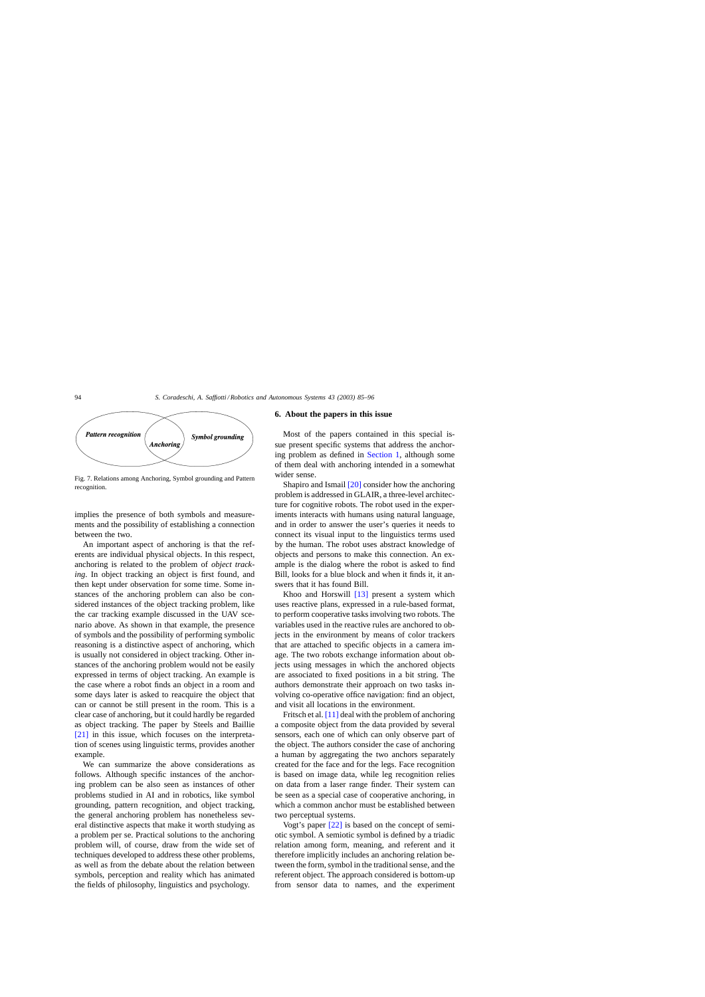<span id="page-9-0"></span>

Fig. 7. Relations among Anchoring, Symbol grounding and Pattern recognition.

implies the presence of both symbols and measurements and the possibility of establishing a connection between the two.

An important aspect of anchoring is that the referents are individual physical objects. In this respect, anchoring is related to the problem of *object tracking*. In object tracking an object is first found, and then kept under observation for some time. Some instances of the anchoring problem can also be considered instances of the object tracking problem, like the car tracking example discussed in the UAV scenario above. As shown in that example, the presence of symbols and the possibility of performing symbolic reasoning is a distinctive aspect of anchoring, which is usually not considered in object tracking. Other instances of the anchoring problem would not be easily expressed in terms of object tracking. An example is the case where a robot finds an object in a room and some days later is asked to reacquire the object that can or cannot be still present in the room. This is a clear case of anchoring, but it could hardly be regarded as object tracking. The paper by Steels and Baillie [\[21\]](#page-11-0) in this issue, which focuses on the interpretation of scenes using linguistic terms, provides another example.

We can summarize the above considerations as follows. Although specific instances of the anchoring problem can be also seen as instances of other problems studied in AI and in robotics, like symbol grounding, pattern recognition, and object tracking, the general anchoring problem has nonetheless several distinctive aspects that make it worth studying as a problem per se. Practical solutions to the anchoring problem will, of course, draw from the wide set of techniques developed to address these other problems, as well as from the debate about the relation between symbols, perception and reality which has animated the fields of philosophy, linguistics and psychology.

#### **6. About the papers in this issue**

Most of the papers contained in this special issue present specific systems that address the anchoring problem as defined in [Section 1,](#page-0-0) although some of them deal with anchoring intended in a somewhat wider sense.

Shapiro and Ismail [\[20\]](#page-11-0) consider how the anchoring problem is addressed in GLAIR, a three-level architecture for cognitive robots. The robot used in the experiments interacts with humans using natural language, and in order to answer the user's queries it needs to connect its visual input to the linguistics terms used by the human. The robot uses abstract knowledge of objects and persons to make this connection. An example is the dialog where the robot is asked to find Bill, looks for a blue block and when it finds it, it answers that it has found Bill.

Khoo and Horswill [\[13\]](#page-11-0) present a system which uses reactive plans, expressed in a rule-based format, to perform cooperative tasks involving two robots. The variables used in the reactive rules are anchored to objects in the environment by means of color trackers that are attached to specific objects in a camera image. The two robots exchange information about objects using messages in which the anchored objects are associated to fixed positions in a bit string. The authors demonstrate their approach on two tasks involving co-operative office navigation: find an object, and visit all locations in the environment.

Fritsch et al. [\[11\]](#page-11-0) deal with the problem of anchoring a composite object from the data provided by several sensors, each one of which can only observe part of the object. The authors consider the case of anchoring a human by aggregating the two anchors separately created for the face and for the legs. Face recognition is based on image data, while leg recognition relies on data from a laser range finder. Their system can be seen as a special case of cooperative anchoring, in which a common anchor must be established between two perceptual systems.

Vogt's paper [\[22\]](#page-11-0) is based on the concept of semiotic symbol. A semiotic symbol is defined by a triadic relation among form, meaning, and referent and it therefore implicitly includes an anchoring relation between the form, symbol in the traditional sense, and the referent object. The approach considered is bottom-up from sensor data to names, and the experiment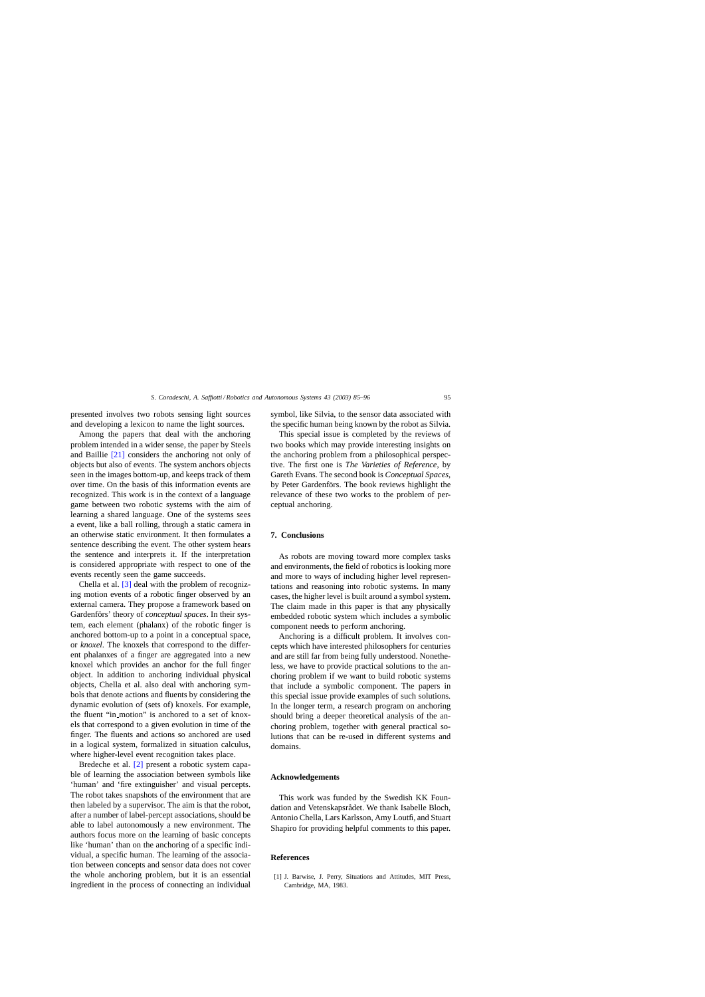<span id="page-10-0"></span>presented involves two robots sensing light sources and developing a lexicon to name the light sources.

Among the papers that deal with the anchoring problem intended in a wider sense, the paper by Steels and Baillie [\[21\]](#page-11-0) considers the anchoring not only of objects but also of events. The system anchors objects seen in the images bottom-up, and keeps track of them over time. On the basis of this information events are recognized. This work is in the context of a language game between two robotic systems with the aim of learning a shared language. One of the systems sees a event, like a ball rolling, through a static camera in an otherwise static environment. It then formulates a sentence describing the event. The other system hears the sentence and interprets it. If the interpretation is considered appropriate with respect to one of the events recently seen the game succeeds.

Chella et al. [\[3\]](#page-11-0) deal with the problem of recognizing motion events of a robotic finger observed by an external camera. They propose a framework based on Gardenförs' theory of *conceptual spaces*. In their system, each element (phalanx) of the robotic finger is anchored bottom-up to a point in a conceptual space, or *knoxel*. The knoxels that correspond to the different phalanxes of a finger are aggregated into a new knoxel which provides an anchor for the full finger object. In addition to anchoring individual physical objects, Chella et al. also deal with anchoring symbols that denote actions and fluents by considering the dynamic evolution of (sets of) knoxels. For example, the fluent "in motion" is anchored to a set of knoxels that correspond to a given evolution in time of the finger. The fluents and actions so anchored are used in a logical system, formalized in situation calculus, where higher-level event recognition takes place.

Bredeche et al. [\[2\]](#page-11-0) present a robotic system capable of learning the association between symbols like 'human' and 'fire extinguisher' and visual percepts. The robot takes snapshots of the environment that are then labeled by a supervisor. The aim is that the robot, after a number of label-percept associations, should be able to label autonomously a new environment. The authors focus more on the learning of basic concepts like 'human' than on the anchoring of a specific individual, a specific human. The learning of the association between concepts and sensor data does not cover the whole anchoring problem, but it is an essential ingredient in the process of connecting an individual

symbol, like Silvia, to the sensor data associated with the specific human being known by the robot as Silvia.

This special issue is completed by the reviews of two books which may provide interesting insights on the anchoring problem from a philosophical perspective. The first one is *The Varieties of Reference*, by Gareth Evans. The second book is *Conceptual Spaces*, by Peter Gardenförs. The book reviews highlight the relevance of these two works to the problem of perceptual anchoring.

### **7. Conclusions**

As robots are moving toward more complex tasks and environments, the field of robotics is looking more and more to ways of including higher level representations and reasoning into robotic systems. In many cases, the higher level is built around a symbol system. The claim made in this paper is that any physically embedded robotic system which includes a symbolic component needs to perform anchoring.

Anchoring is a difficult problem. It involves concepts which have interested philosophers for centuries and are still far from being fully understood. Nonetheless, we have to provide practical solutions to the anchoring problem if we want to build robotic systems that include a symbolic component. The papers in this special issue provide examples of such solutions. In the longer term, a research program on anchoring should bring a deeper theoretical analysis of the anchoring problem, together with general practical solutions that can be re-used in different systems and domains.

### **Acknowledgements**

This work was funded by the Swedish KK Foundation and Vetenskapsrådet. We thank Isabelle Bloch, Antonio Chella, Lars Karlsson, Amy Loutfi, and Stuart Shapiro for providing helpful comments to this paper.

## **References**

[1] J. Barwise, J. Perry, Situations and Attitudes, MIT Press, Cambridge, MA, 1983.